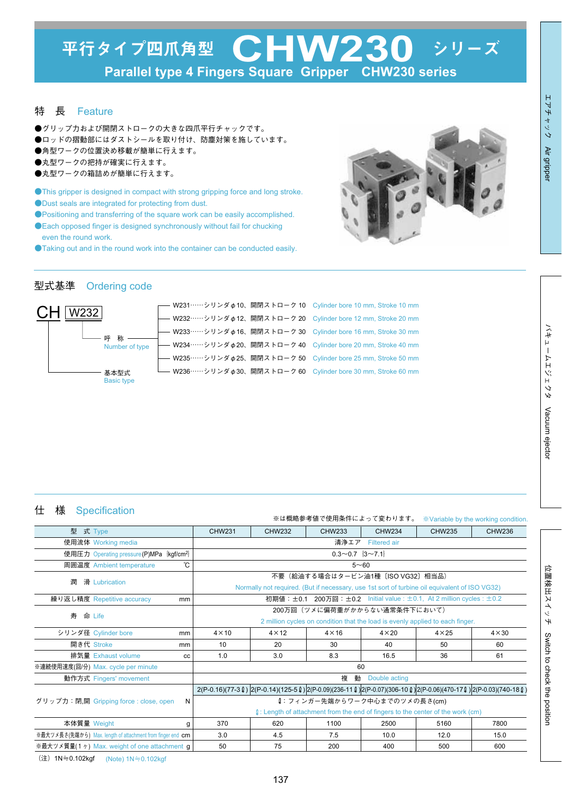#### 特 長 Feature

- ●グリップ力および開閉ストロークの大きな四爪平行チャックです。
- ●ロッドの摺動部にはダストシールを取り付け、防塵対策を施しています。
- ●角型ワークの位置決め移載が簡単に行えます。
- ●丸型ワークの把持が確実に行えます。
- ●丸型ワークの箱詰めが簡単に行えます。
- ●This gripper is designed in compact with strong gripping force and long stroke.
- ●Dust seals are integrated for protecting from dust.
- ●Positioning and transferring of the square work can be easily accomplished.
- ●Each opposed finger is designed synchronously without fail for chucking even the round work.
- ●Taking out and in the round work into the container can be conducted easily.



#### 型式基準 Ordering code



## 仕 様 Specification

|             |                                                                                       |    | ※は概略参考値で使用条件によって変わります。<br>*Variable by the working condition.                                                                    |               |               |               |               |                                                                                                                                                        |
|-------------|---------------------------------------------------------------------------------------|----|----------------------------------------------------------------------------------------------------------------------------------|---------------|---------------|---------------|---------------|--------------------------------------------------------------------------------------------------------------------------------------------------------|
| 型 式 Type    |                                                                                       |    | CHW231                                                                                                                           | <b>CHW232</b> | CHW233        | CHW234        | CHW235        | CHW236                                                                                                                                                 |
|             | 使用流体 Working media                                                                    |    | 清浄エア Filtered air                                                                                                                |               |               |               |               |                                                                                                                                                        |
|             | $0.3 \sim 0.7$ $\{3 \sim 7.1\}$<br>使用圧力 Operating pressure (P)MPa kgf/cm <sup>2</sup> |    |                                                                                                                                  |               |               |               |               |                                                                                                                                                        |
|             | 周囲温度 Ambient temperature                                                              | ℃  | $5 - 60$                                                                                                                         |               |               |               |               |                                                                                                                                                        |
| 潤           | 滑 Lubrication                                                                         |    | 不要(給油する場合はタービン油1種〔ISO VG32〕相当品)<br>Normally not required. (But if necessary, use 1st sort of turbine oil equivalent of ISO VG32) |               |               |               |               |                                                                                                                                                        |
|             |                                                                                       |    |                                                                                                                                  |               |               |               |               |                                                                                                                                                        |
|             | 繰り返し精度 Repetitive accuracy                                                            | mm | 初期値: $\pm$ 0.1 200万回: $\pm$ 0.2 Initial value : $\pm$ 0.1, At 2 million cycles : $\pm$ 0.2                                       |               |               |               |               |                                                                                                                                                        |
| 寿 命 Life    |                                                                                       |    | 200万回(ツメに偏荷重がかからない通常条件下において)<br>2 million cycles on condition that the load is evenly applied to each finger.                    |               |               |               |               |                                                                                                                                                        |
|             |                                                                                       |    |                                                                                                                                  |               |               |               |               |                                                                                                                                                        |
|             | シリンダ径 Cylinder bore                                                                   | mm | $4 \times 10$                                                                                                                    | $4 \times 12$ | $4 \times 16$ | $4 \times 20$ | $4 \times 25$ | $4 \times 30$                                                                                                                                          |
| 開き代 Stroke  |                                                                                       | mm | 10                                                                                                                               | 20            | 30            | 40            | 50            | 60                                                                                                                                                     |
|             | 排気量 Exhaust volume                                                                    | CC | 1.0                                                                                                                              | 3.0           | 8.3           | 16.5          | 36            | 61                                                                                                                                                     |
|             | ※連続使用速度(回/分) Max. cycle per minute                                                    |    | 60                                                                                                                               |               |               |               |               |                                                                                                                                                        |
|             | 動作方式 Fingers' movement                                                                |    | 複<br>動<br>Double acting                                                                                                          |               |               |               |               |                                                                                                                                                        |
|             | グリップ力:閉,開 Gripping force : close, open                                                |    |                                                                                                                                  |               |               |               |               | $2(P-0.16)(77-3 \ell)$ $(2(P-0.14)(125-5 \ell)$ $(2(P-0.09)(236-11 \ell)$ $(2(P-0.07)(306-10 \ell)$ $2(P-0.06)(470-17 \ell)$ $(2(P-0.03)(740-18 \ell)$ |
|             |                                                                                       | N  | Q: フィンガー先端からワーク中心までのツメの長さ(cm)<br>$\ell$ : Length of attachment from the end of fingers to the center of the work (cm)            |               |               |               |               |                                                                                                                                                        |
|             |                                                                                       |    |                                                                                                                                  |               |               |               |               |                                                                                                                                                        |
| 本体質量 Weight |                                                                                       | g  | 370                                                                                                                              | 620           | 1100          | 2500          | 5160          | 7800                                                                                                                                                   |
|             | ※最大ツメ長さ(先端から) Max. length of attachment from finger end cm                            |    | 3.0                                                                                                                              | 4.5           | 7.5           | 10.0          | 12.0          | 15.0                                                                                                                                                   |
|             | ※最大ツメ質量(1ヶ) Max. weight of one attachment g                                           |    | 50                                                                                                                               | 75            | 200           | 400           | 500           | 600                                                                                                                                                    |

(注) 1N≒0.102kgf (Note) 1N≒0.102kgf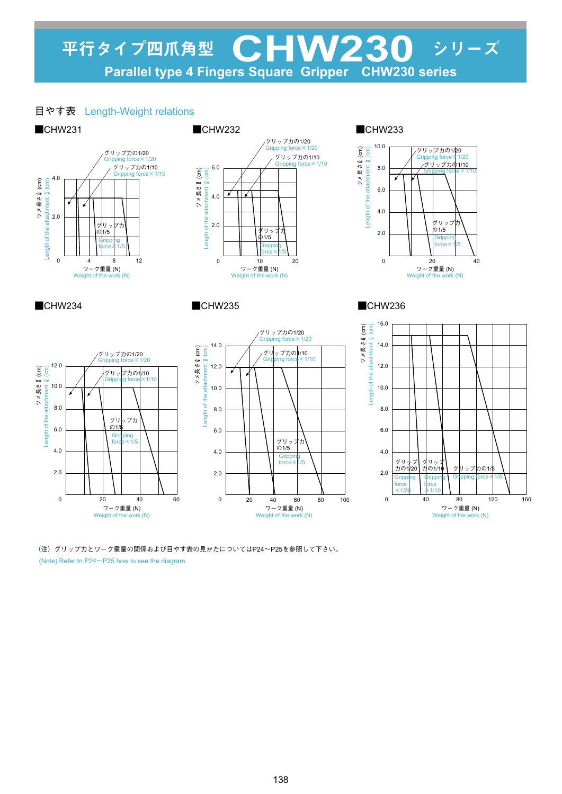## 平行タイプ四爪角型 CHW230 シリーズ<br>Parallel type 4 Fingers Square Gripper CHW230 series Parallel type 4 Fingers Square Gripper

## 目やす表 Length-Weight relations



(Note) Refer to P24~P25 how to see the diagram. (注)グリップ力とワーク重量の関係および目やす表の見かたについてはP24~P25を参照して下さい。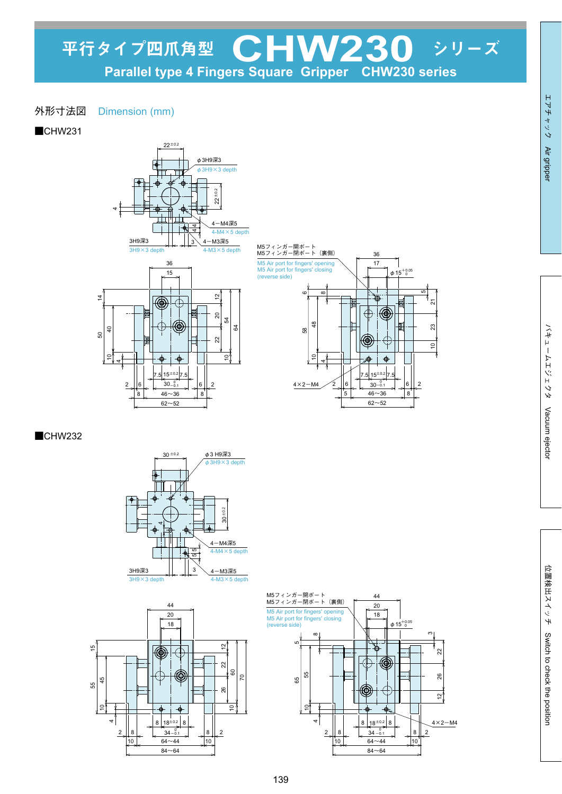## 外形寸法図 Dimension (mm)

■CHW231







■CHW232





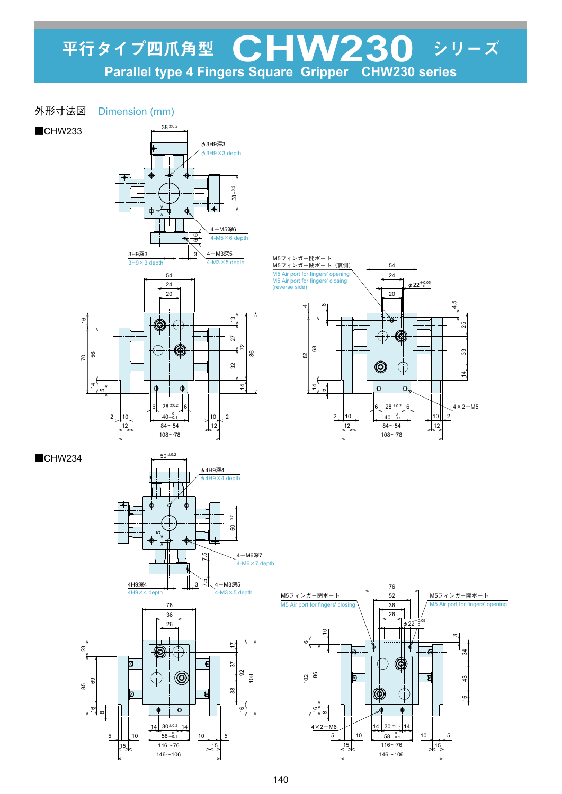- 外形寸法図 Dimension (mm)
- ■CHW233

■CHW234

 $\tilde{e}$